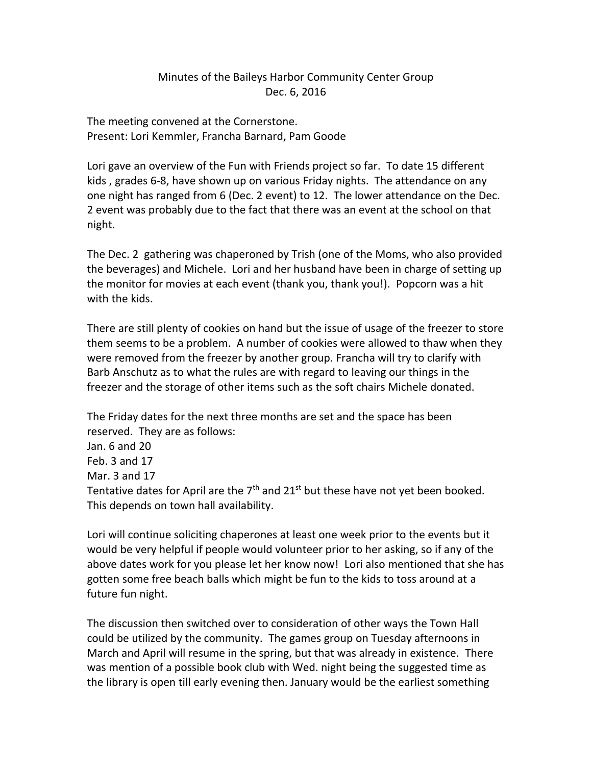## Minutes of the Baileys Harbor Community Center Group Dec. 6, 2016

The meeting convened at the Cornerstone. Present: Lori Kemmler, Francha Barnard, Pam Goode

Lori gave an overview of the Fun with Friends project so far. To date 15 different kids , grades 6-8, have shown up on various Friday nights. The attendance on any one night has ranged from 6 (Dec. 2 event) to 12. The lower attendance on the Dec. 2 event was probably due to the fact that there was an event at the school on that night.

The Dec. 2 gathering was chaperoned by Trish (one of the Moms, who also provided the beverages) and Michele. Lori and her husband have been in charge of setting up the monitor for movies at each event (thank you, thank you!). Popcorn was a hit with the kids.

There are still plenty of cookies on hand but the issue of usage of the freezer to store them seems to be a problem. A number of cookies were allowed to thaw when they were removed from the freezer by another group. Francha will try to clarify with Barb Anschutz as to what the rules are with regard to leaving our things in the freezer and the storage of other items such as the soft chairs Michele donated.

The Friday dates for the next three months are set and the space has been reserved. They are as follows:

Jan. 6 and 20 Feb. 3 and 17 Mar. 3 and 17 Tentative dates for April are the  $7<sup>th</sup>$  and  $21<sup>st</sup>$  but these have not yet been booked. This depends on town hall availability.

Lori will continue soliciting chaperones at least one week prior to the events but it would be very helpful if people would volunteer prior to her asking, so if any of the above dates work for you please let her know now! Lori also mentioned that she has gotten some free beach balls which might be fun to the kids to toss around at a future fun night.

The discussion then switched over to consideration of other ways the Town Hall could be utilized by the community. The games group on Tuesday afternoons in March and April will resume in the spring, but that was already in existence. There was mention of a possible book club with Wed. night being the suggested time as the library is open till early evening then. January would be the earliest something